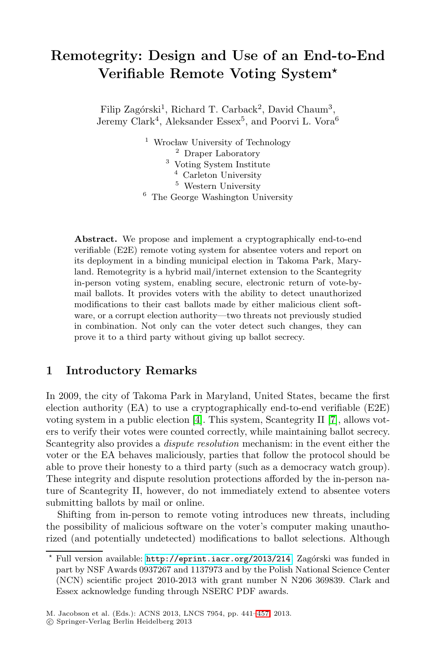# **Remotegrity: Design and Use of an End-to-End Verifiable Remote Voting System***-*

Filip Zagórski<sup>1</sup>, Richard T. Carback<sup>2</sup>, David Chaum<sup>3</sup>, Jeremy Clark<sup>4</sup>, Aleksander Essex<sup>5</sup>, and Poorvi L. Vora<sup>6</sup>

> <sup>1</sup> Wrocław University of Technology Draper Laboratory <sup>3</sup> Voting System Institute Carleton University Western University The George Washington University

**Abstract.** We propose and implement a cryptographically end-to-end verifiable (E2E) remote voting system for absentee voters and report on its deployment in a binding municipal election in Takoma Park, Maryland. Remotegrity is a hybrid mail/internet extension to the Scantegrity in-person voting system, enabling secure, electronic return of vote-bymail ballots. It provides voters with the ability to detect unauthorized modifications to their cast ballots made by either malicious client software, or a corrupt election authority—two threats not previously studied in combin[ati](#page-15-0)on. Not only can the voter de[tec](#page-15-1)t such changes, they can prove it to a third party without giving up ballot secrecy.

# **1 Introductory Remarks**

In 2009, the city of Takoma Park in Maryland, United States, became the first election authority (EA) to use a cryptographically end-to-end verifiable (E2E) voting system in a public election [4]. This system, Scantegrity II [7], allows voters to verify their votes were counted correctly, while maintaining ballot secrecy. Scantegrity also provides a *dispute resolution* mechanism: in the event either the voter or the EA behaves maliciously, parties that follow the protocol should be able [to prove their honesty to a third pa](http://eprint.iacr.org/2013/214)rty (such as a democracy watch group). These integrity and dispute resolution protections afforded by the in-person nature of Scantegrity II, however, do not immediately extend to absentee voters submitting ballots by mail or online.

Shifting from in-person to remote voting introduces new threats, including the possibility of malicious sof[twa](#page-14-0)re on the voter's computer making unauthorized (and potentially undetected) modifications to ballot selections. Although

<sup>\*</sup> Full version available: http://eprint.iacr.org/2013/214. Zagórski was funded in part by NSF Awards 0937267 and 1137973 and by the Polish National Science Center (NCN) scientific project 2010-2013 with grant number N N206 369839. Clark and Essex acknowledge funding through NSERC PDF awards.

M. Jacobson et al. (Eds.): ACNS 2013, LNCS 7954, pp. 441–457, 2013.

<sup>-</sup>c Springer-Verlag Berlin Heidelberg 2013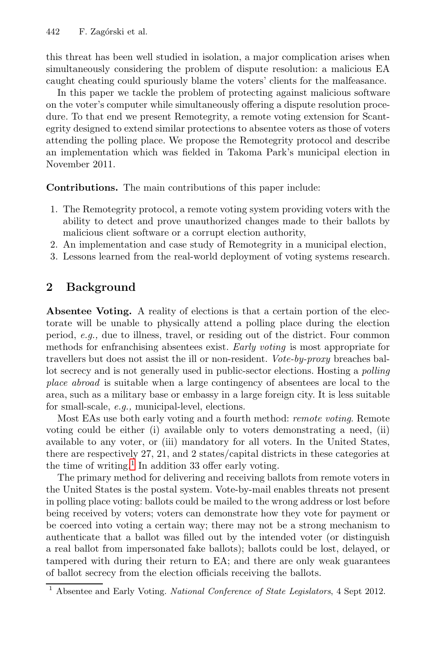this threat has been well studied in isolation, a major complication arises when simultaneously considering the problem of dispute resolution: a malicious EA caught cheating could spuriously blame the voters' clients for the malfeasance.

In this paper we tackle the problem of protecting against malicious software on the voter's computer while simultaneously offering a dispute resolution procedure. To that end we present Remotegrity, a remote voting extension for Scantegrity designed to extend similar protections to absentee voters as those of voters attending the polling place. We propose the Remotegrity protocol and describe an implementation which was fielded in Takoma Park's municipal election in November 2011.

**Contributions.** The main contributions of this paper include:

- 1. The Remotegrity protocol, a remote voting system providing voters with the ability to detect and prove unauthorized changes made to their ballots by malicious client software or a corrupt election authority,
- 2. An implementation and case study of Remotegrity in a municipal election,
- 3. Lessons learned from the real-world deployment of voting systems research.

# **2 Background**

**Absentee Voting.** A reality of elections is that a certain portion of the electorate will be unable to physically attend a polling place during the election period, *e.g.,* due to illness, travel, or residing out of the district. Four common methods for enfranchising absentees exist. *Early voting* is most appropriate for travellers but does not assist the ill or non-resident. *Vote-by-proxy* breaches ball[ot](#page-1-0) secrecy and is not generally used in public-sector elections. Hosting a *polling place abroad* is suitable when a large contingency of absentees are local to the area, such as a military base or embassy in a large foreign city. It is less suitable for small-scale, *e.g.,* municipal-level, elections.

<span id="page-1-0"></span>Most EAs use both early voting and a fourth method: *remote voting*. Remote voting could be either (i) available only to voters demonstrating a need, (ii) available to any voter, or (iii) mandatory for all voters. In the United States, there are respectively 27, 21, and 2 states/capital districts in these categories at the time of writing.<sup>1</sup> In addition 33 offer early voting.

The primary method for delivering and receiving ballots from remote voters in the United States is the postal system. Vote-by-mail enables threats not present in polling place voting: ballots could be mailed to the wrong address or lost before being received by voters; voters can demonstrate how they vote for payment or be coerced into voting a certain way; there may not be a strong mechanism to authenticate that a ballot was filled out by the intended voter (or distinguish a real ballot from impersonated fake ballots); ballots could be lost, delayed, or tampered with during their return to EA; and there are only weak guarantees of ballot secrecy from the election officials receiving the ballots.

<sup>1</sup> Absentee and Early Voting. *National Conference of State Legislators*, 4 Sept 2012.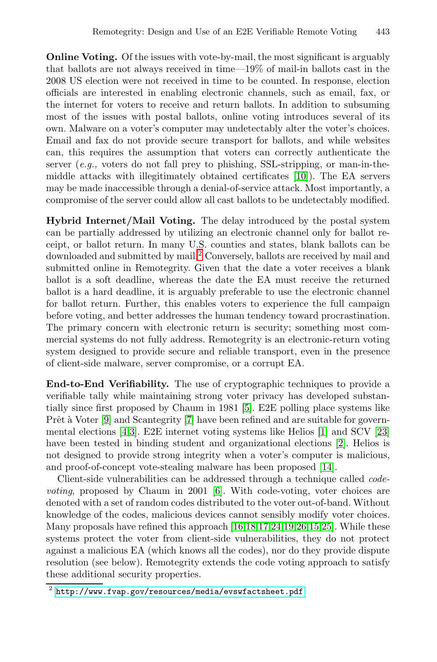**Online Voting.** Of the issues with vote-by-mail, the most significant is arguably that ballots are not always received in time—19% of mail-in ballots cast in the 2008 US election were not received in t[ime](#page-15-2) to be counted. In response, election officials are interested in enabling electronic channels, such as email, fax, or the internet for voters to receive and return ballots. In addition to subsuming most of the issues with postal ballots, online voting introduces several of its own. Malware on a voter's computer may undetectably alter the voter's choices. Email and fax do not provide secure transport for ballots, and while websites can, this requires the assumption that voters can correctly authenticate the server (*e.g.,* vot[ers](#page-2-0) do not fall prey to phishing, SSL-stripping, or man-in-themiddle attacks with illegitimately obtained certificates [10]). The EA servers may be made inaccessible through a denial-of-service attack. Most importantly, a compromise of the server could allow all cast ballots to be undetectably modified.

**Hybrid Internet/Mail Voting.** The delay introduced by the postal system can be partially addressed by utilizing an electronic channel only for ballot receipt, or ballot return. In many U.S. counties and states, blank ballots can be downloaded and submitted by mail.<sup>2</sup> Conversely, ballots are received by mail and submitted online in Remotegrity. Given that the date a voter receives a blank ballot is a soft deadline, whereas the date the EA must receive the returned ballot is a hard deadline, it is arguably preferable to use the electronic channel for ballot return. Further, this enables voters to experience the full campaign before voting, and better ad[dr](#page-15-3)esses the human tendency toward procrastination. The primary [co](#page-15-1)ncern with electronic return is security; something most com[m](#page-15-0)[e](#page-14-1)rcial systems do not fully address. Remote[gr](#page-14-2)ity is an el[ectr](#page-16-0)onic-return voting system designed to provide secure and reliable t[ra](#page-14-3)nsport, even in the presence of client-side malware, server compromise, or a corrupt EA.

<span id="page-2-0"></span>**End-to-End Verifiability.** The use of cryp[tog](#page-15-4)raphic techniques to provide a verifiable tally while [m](#page-15-5)aintaining strong voter privacy has developed substantially since first proposed by Chaum in 1981 [5]. E2E polling place systems like Prêt à Voter [9] and Scantegrity [7] have been refined and are suitable for governmental elections [4,3]. E[2E](#page-15-6) [inte](#page-15-7)[rn](#page-15-8)[et](#page-16-1) [vot](#page-15-9)[ing](#page-16-2) [sy](#page-15-10)[stem](#page-16-3)s like Helios [1] and SCV [23] have been tested in binding student and organizational elections [2]. Helios is not designed to provide strong integrity when a voter's computer is malicious, and proof-of-concept vote-stealing malware has been proposed [14].

Client-side vulnerabilities can be addressed through a technique called *codevoting*, proposed by Chaum in 2001 [6]. With code-voting, voter choices are [denoted with a set of random codes distribu](http://www.fvap.gov/resources/media/evswfactsheet.pdf)ted to the voter out-of-band. Without knowledge of the codes, malicious devices cannot sensibly modify voter choices. Many proposals have refined this approach [16,18,17,24,19,26,15,25]. While these systems protect the voter from client-side vulnerabilities, they do not protect against a malicious EA (which knows all the codes), nor do they provide dispute resolution (see below). Remotegrity extends the code voting approach to satisfy these additional security properties.

 $^{2}$  http://www.fvap.gov/resources/media/evswfactsheet.pdf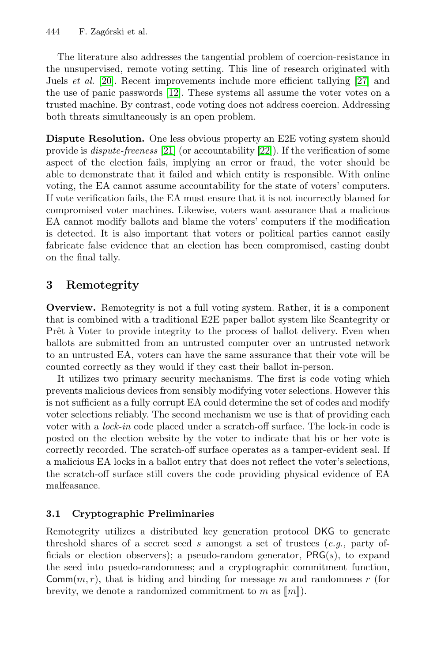The li[tera](#page-15-11)ture also addresses [th](#page-15-12)e tangential problem of coercion-resistance in the unsupervised, remote voting setting. This line of research originated with Juels *et al.* [20]. Recent improvements include more efficient tallying [27] and the use of panic passwords [12]. These systems all assume the voter votes on a trusted machine. By contrast, code voting does not address coercion. Addressing both threats simultaneously is an open problem.

**Dispute Resolution.** One less obvious property an E2E voting system should provide is *dispute-freeness* [21] (or accountability [22]). If the verification of some aspect of the election fails, implying an error or fraud, the voter should be able to demonstrate that it failed and which entity is responsible. With online voting, the EA cannot assume accountability for the state of voters' computers. If vote verification fails, the EA must ensure that it is not incorrectly blamed for compromised voter machines. Likewise, voters want assurance that a malicious EA cannot modify ballots and blame the voters' computers if the modification is detected. It is also important that voters or political parties cannot easily fabricate false evidence that an election has been compromised, casting doubt on the final tally.

# **3 Remotegrity**

**Overview.** Remotegrity is not a full voting system. Rather, it is a component that is combined with a traditional E2E paper ballot system like Scantegrity or Prêt à Voter to provide integrity to the process of ballot delivery. Even when ballots are submitted from an untrusted computer over an untrusted network to an untrusted EA, voters can have the same assurance that their vote will be counted correctly as they would if they cast their ballot in-person.

It utilizes two primary security mechanisms. The first is code voting which prevents malicious devices from sensibly modifying voter selections. However this is not sufficient as a fully corrupt EA could determine the set of codes and modify voter selections reliably. The second mechanism we use is that of providing each voter with a *lock-in* code placed under a scratch-off surface. The lock-in code is posted on the election website by the voter to indicate that his or her vote is correctly recorded. The scratch-off surface operates as a tamper-evident seal. If a malicious EA locks in a ballot entry that does not reflect the voter's selections, the scratch-off surface still covers the code providing physical evidence of EA malfeasance.

### **3.1 Cryptographic Preliminaries**

Remotegrity utilizes a distributed key generation protocol DKG to generate threshold shares of a secret seed *s* amongst a set of trustees (*e.g.,* party officials or election observers); a pseudo-random generator, PRG(*s*), to expand the seed into psuedo-randomness; and a cryptographic commitment function, Comm $(m, r)$ , that is hiding and binding for message *m* and randomness *r* (for brevity, we denote a randomized commitment to  $m$  as  $\llbracket m \rrbracket$ ).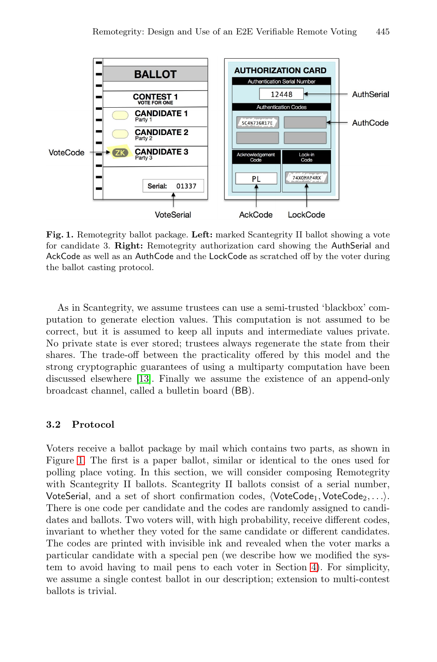

<span id="page-4-0"></span>**Fig. 1.** Remotegrity ballot package. **Left:** marked Scantegrity II ballot showing a vote for candidate 3. **Right:** Remotegrity authorization card showing the AuthSerial and AckCode as well as an AuthCode and the LockCode as scratched off by the voter during the ballot casting protocol.

As in Scantegrity, we assume trustees can use a semi-trusted 'blackbox' computation to generate election values. This computation is not assumed to be correct, but it is assumed to keep all inputs and intermediate values private. No private state is ever stored; trustees always regenerate the state from their shares. The trade-off between the practicality offered by this model and the strong cryptographic guarantees of using a multiparty computation have been discussed elsewhere [13]. Finally we assume the existence of an append-only broadcast channel, called a bulletin board (BB).

# **3.2 Protocol**

Voters receive a ballot package by mail which contains two parts, as shown in Figure 1. The first is a paper ballot, similar or identical to the ones used for polling place voting. In this section, we [wil](#page-11-0)l consider composing Remotegrity with Scantegrity II ballots. Scantegrity II ballots consist of a serial number, VoteSerial, and a set of short confirmation codes,  $\langle \textsf{VoteCode}_1, \textsf{VoteCode}_2, \ldots \rangle$ . There is one code per candidate and the codes are randomly assigned to candidates and ballots. Two voters will, with high probability, receive different codes, invariant to whether they voted for the same candidate or different candidates. The codes are printed with invisible ink and revealed when the voter marks a particular candidate with a special pen (we describe how we modified the system to avoid having to mail pens to each voter in Section 4). For simplicity, we assume a single contest ballot in our description; extension to multi-contest ballots is trivial.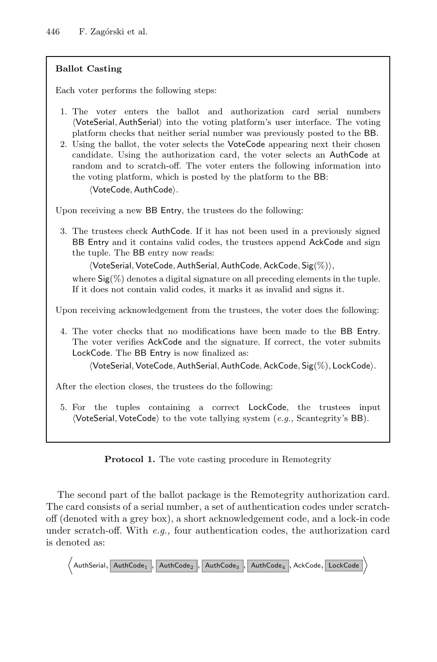### **Ballot Casting**

Each voter performs the following steps:

- 1. The voter enters the ballot and authorization card serial numbers (VoteSerial, AuthSerial) into the voting platform's user interface. The voting platform checks that neither serial number was previously posted to the BB.
- 2. Using the ballot, the voter selects the VoteCode appearing next their chosen candidate. Using the authorization card, the voter selects an AuthCode at random and to scratch-off. The voter enters the following information into the voting platform, which is posted by the platform to the BB:  $\langle \text{VoteCode}, \text{AuthorCode} \rangle$ .

Upon receiving a new BB Entry, the trustees do the following:

3. The trustees check AuthCode. If it has not been used in a previously signed BB Entry and it contains valid codes, the trustees append AckCode and sign the tuple. The BB entry now reads:

-VoteSerial*,*VoteCode*,*AuthSerial*,*AuthCode*,*AckCode*,* Sig(%),

where  $\text{Sig}(\%)$  denotes a digital signature on all preceding elements in the tuple. If it does not contain valid codes, it marks it as invalid and signs it.

Upon receiving acknowledgement from the trustees, the voter does the following:

4. The voter checks that no modifications have been made to the BB Entry. The voter verifies AckCode and the signature. If correct, the voter submits LockCode. The BB Entry is now finalized as:

-VoteSerial*,*VoteCode*,*AuthSerial*,*AuthCode*,*AckCode*,* Sig(%)*,* LockCode.

After the election closes, the trustees do the following:

5. For the tuples containing a correct LockCode, the trustees input  $\langle$ VoteSerial, VoteCode $\rangle$  to the vote tallying system  $(e.g.,$  Scantegrity's BB).

**Protocol 1.** The vote casting procedure in Remotegrity

The second part of the ballot package is the Remotegrity authorization card. The card consists of a serial number, a set of authentication codes under scratchoff (denoted with a grey box), a short acknowledgement code, and a lock-in code under scratch-off. With *e.g.,* four authentication codes, the authorization card is denoted as:

|  | $\langle$ AuthSerial, AuthCode <sub>1</sub> , AuthCode <sub>2</sub> , AuthCode <sub>3</sub> , AuthCode <sub>4</sub> , AckCode, LockCode) |  |  |  |  |  |
|--|------------------------------------------------------------------------------------------------------------------------------------------|--|--|--|--|--|
|  |                                                                                                                                          |  |  |  |  |  |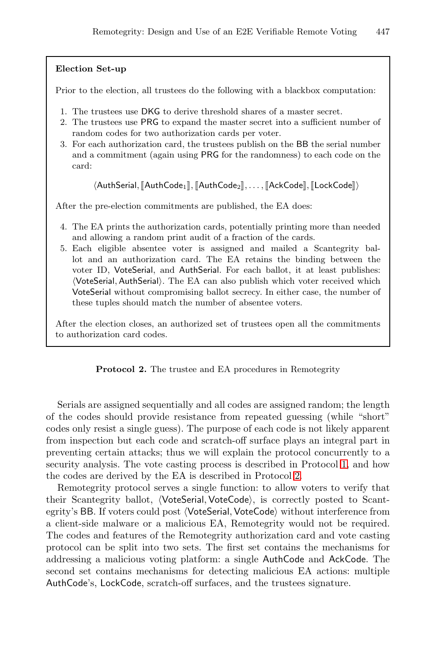#### **Election Set-up**

Prior to the election, all trustees do the following with a blackbox computation:

- 1. The trustees use DKG to derive threshold shares of a master secret.
- 2. The trustees use PRG to expand the master secret into a sufficient number of random codes for two authorization cards per voter.
- 3. For each authorization card, the trustees publish on the BB the serial number and a commitment (again using PRG for the randomness) to each code on the card:

 $\langle$ AuthSerial,  $[\![ \mathsf{AuthorCode_1} ]\!]$ ,  $[\![ \mathsf{AuthorCode_2} ]\!]$ , ...,  $[\![ \mathsf{LockCode} ]\!]$ ,  $[\![ \mathsf{LockCode} ]\!]$ 

After the pre-election commitments are published, the EA does:

- 4. The EA prints the authorization cards, potentially printing more than needed and allowing a random print audit of a fraction of the cards.
- 5. Each eligible absentee voter is assigned and mailed a Scantegrity ballot and an authorization card. The EA retains the binding between the voter ID, VoteSerial, and AuthSerial. For each ballot, it at least publishes: -VoteSerial*,*AuthSerial. The EA can also publish which voter received which VoteSerial without compromising ballot secrecy. In either case, the number of these tuples should match the number of absentee voters.

After the election closes, an authorized set of trustees open all the commitments to authorization card codes.

### **Protocol 2.** The trustee and EA procedures in Remotegrity

Serials are assigned sequentially and all codes are assigned random; the length of the codes should provide resistance from repeated guessing (while "short" codes only resist a single guess). The purpose of each code is not likely apparent from inspection but each code and scratch-off surface plays an integral part in preventing certain attacks; thus we will explain the protocol concurrently to a security analysis. The vote casting process is described in Protocol 1, and how the codes are derived by the EA is described in Protocol 2.

Remotegrity protocol serves a single function: to allow voters to verify that their Scantegrity ballot,  $\langle \textsf{VoteScen}|\textsf{VoteCode}\rangle$ , is correctly posted to Scantegrity's BB. If voters could post  $\langle \textsf{VoteSerial}, \textsf{VoteCode} \rangle$  without interference from a client-side malware or a malicious EA, Remotegrity would not be required. The codes and features of the Remotegrity authorization card and vote casting protocol can be split into two sets. The first set contains the mechanisms for addressing a malicious voting platform: a single AuthCode and AckCode. The second set contains mechanisms for detecting malicious EA actions: multiple AuthCode's, LockCode, scratch-off surfaces, and the trustees signature.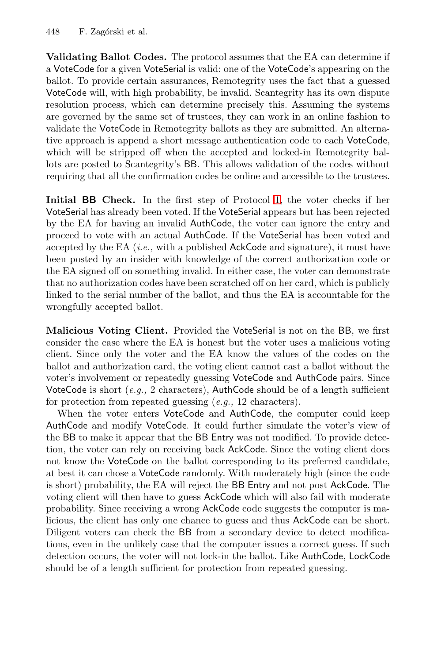**Validating Ballot Codes.** The protocol assumes that the EA can determine if a VoteCode for a given VoteSerial is valid: one of the VoteCode's appearing on the ballot. To provide certain assurances, Remotegrity uses the fact that a guessed VoteCode will, with high probability, be invalid. Scantegrity has its own dispute resolution process, which can determine precisely this. Assuming the systems are governed by the same set of trustees, they can work in an online fashion to validate the VoteCode in Remotegrity ballots as they are submitted. An alternative approach is append a short message authentication code to each VoteCode, which will be stripped off when the accepted and locked-in Remotegrity ballots are posted to Scantegrity's BB. This allows validation of the codes without requiring that all the confirmation codes be online and accessible to the trustees.

**Initial BB Check.** In the first step of Protocol 1, the voter checks if her VoteSerial has already been voted. If the VoteSerial appears but has been rejected by the EA for having an invalid AuthCode, the voter can ignore the entry and proceed to vote with an actual AuthCode. If the VoteSerial has been voted and accepted by the EA (*i.e.,* with a published AckCode and signature), it must have been posted by an insider with knowledge of the correct authorization code or the EA signed off on something invalid. In either case, the voter can demonstrate that no authorization codes have been scratched off on her card, which is publicly linked to the serial number of the ballot, and thus the EA is accountable for the wrongfully accepted ballot.

**Malicious Voting Client.** Provided the VoteSerial is not on the BB, we first consider the case where the EA is honest but the voter uses a malicious voting client. Since only the voter and the EA know the values of the codes on the ballot and authorization card, the voting client cannot cast a ballot without the voter's involvement or repeatedly guessing VoteCode and AuthCode pairs. Since VoteCode is short (*e.g.,* 2 characters), AuthCode should be of a length sufficient for protection from repeated guessing (*e.g.,* 12 characters).

When the voter enters VoteCode and AuthCode, the computer could keep AuthCode and modify VoteCode. It could further simulate the voter's view of the BB to make it appear that the BB Entry was not modified. To provide detection, the voter can rely on receiving back AckCode. Since the voting client does not know the VoteCode on the ballot corresponding to its preferred candidate, at best it can chose a VoteCode randomly. With moderately high (since the code is short) probability, the EA will reject the BB Entry and not post AckCode. The voting client will then have to guess AckCode which will also fail with moderate probability. Since receiving a wrong AckCode code suggests the computer is malicious, the client has only one chance to guess and thus AckCode can be short. Diligent voters can check the BB from a secondary device to detect modifications, even in the unlikely case that the computer issues a correct guess. If such detection occurs, the voter will not lock-in the ballot. Like AuthCode, LockCode should be of a length sufficient for protection from repeated guessing.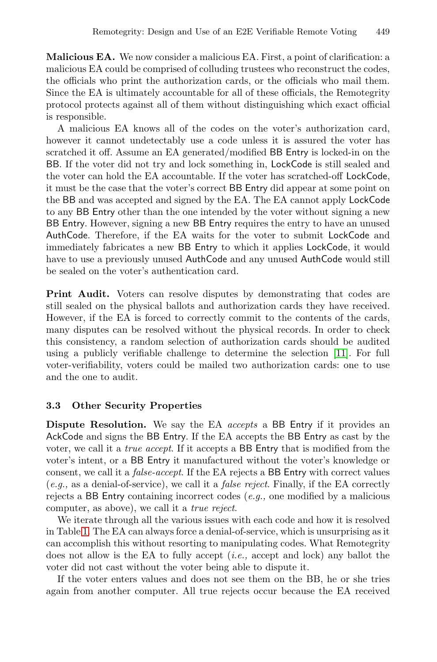**Malicious EA.** We now consider a malicious EA. First, a point of clarification: a malicious EA could be comprised of colluding trustees who reconstruct the codes, the officials who print the authorization cards, or the officials who mail them. Since the EA is ultimately accountable for all of these officials, the Remotegrity protocol protects against all of them without distinguishing which exact official is responsible.

A malicious EA knows all of the codes on the voter's authorization card, however it cannot undetectably use a code unless it is assured the voter has scratched it off. Assume an EA generated/modified BB Entry is locked-in on the BB. If the voter did not try and lock something in, LockCode is still sealed and the voter can hold the EA accountable. If the voter has scratched-off LockCode, it must be the case that the voter's correct BB Entry did appear at some point on the BB and was accepted and signed by the EA. The EA cannot apply LockCode to any BB Entry other than the one intended by the voter without signing a new BB Entry. However, signing a new BB Entry requires the entry to have an unused AuthCode. Therefore, if the EA waits for the voter to submit LockCode and immediately fabricates a new BB Entry to which it applies LockCode, it would have to use a previously unused AuthCode and a[ny u](#page-15-13)nused AuthCode would still be sealed on the voter's authentication card.

**Print Audit.** Voters can resolve disputes by demonstrating that codes are still sealed on the physical ballots and authorization cards they have received. However, if the EA is forced to correctly commit to the contents of the cards, many disputes can be resolved without the physical records. In order to check this consistency, a random selection of authorization cards should be audited using a publicly verifiable challenge to determine the selection [11]. For full voter-verifiability, voters could be mailed two authorization cards: one to use and the one to audit.

#### **3.3 Other Security Properties**

**Dispute Resolution.** We say the EA *accepts* a BB Entry if it provides an AckCode and signs the BB Entry. If the EA accepts the BB Entry as cast by the voter, we call it a *true accept*. If it accepts a BB Entry that is modified from the voter's intent, or a BB Entry it manufactured without the voter's knowledge or consent, we call it a *false-accept*. If the EA rejects a BB Entry with correct values (*e.g.,* as a denial-of-service), we call it a *false reject*. Finally, if the EA correctly rejects a BB Entry containing incorrect codes (*e.g.,* one modified by a malicious computer, as above), we call it a *true reject*.

We iterate through all the various issues with each code and how it is resolved in Table 1. The EA can always force a denial-of-service, which is unsurprising as it can accomplish this without resorting to manipulating codes. What Remotegrity does not allow is the EA to fully accept (*i.e.,* accept and lock) any ballot the voter did not cast without the voter being able to dispute it.

If the voter enters values and does not see them on the BB, he or she tries again from another computer. All true rejects occur because the EA received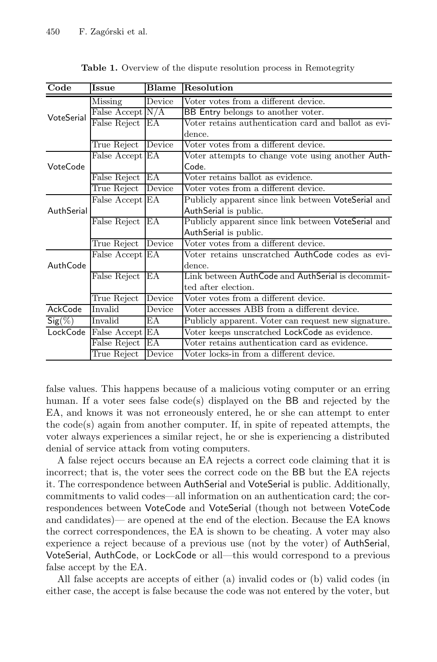| Code       | <b>Issue</b>             | Blame  | Resolution                                           |
|------------|--------------------------|--------|------------------------------------------------------|
|            | Missing                  | Device | Voter votes from a different device.                 |
| VoteSerial | False Accept $N/A$       |        | BB Entry belongs to another voter.                   |
|            | False Reject             | ΕA     | Voter retains authentication card and ballot as evi- |
|            |                          |        | dence.                                               |
|            | True Reject              | Device | Voter votes from a different device.                 |
|            | False Accept EA          |        | Voter attempts to change vote using another Auth-    |
| VoteCode   |                          |        | Code.                                                |
|            | False Reject EA          |        | Voter retains ballot as evidence.                    |
|            | True Reject Device       |        | Voter votes from a different device.                 |
|            | False Accept EA          |        | Publicly apparent since link between VoteSerial and  |
| AuthSerial |                          |        | AuthSerial is public.                                |
|            | False Reject EA          |        | Publicly apparent since link between VoteSerial and  |
|            |                          |        | AuthSerial is public.                                |
|            | True Reject Device       |        | Voter votes from a different device.                 |
|            | False Accept EA          |        | Voter retains unscratched AuthCode codes as evi-     |
| AuthCode   |                          |        | dence.                                               |
|            | False Reject EA          |        | Link between AuthCode and AuthSerial is decommit-    |
|            |                          |        | ted after election.                                  |
|            | True Reject              | Device | Voter votes from a different device.                 |
| AckCode    | Invalid                  | Device | Voter accesses ABB from a different device.          |
| $Sig(\%)$  | Invalid                  | EA     | Publicly apparent. Voter can request new signature.  |
|            | LockCode False Accept EA |        | Voter keeps unscratched LockCode as evidence.        |
|            | False Reject EA          |        | Voter retains authentication card as evidence.       |
|            | True Reject Device       |        | Voter locks-in from a different device.              |

**Table 1.** Overview of the dispute resolution process in Remotegrity

false values. This happens because of a malicious voting computer or an erring human. If a voter sees false code(s) displayed on the BB and rejected by the EA, and knows it was not erroneously entered, he or she can attempt to enter the  $code(s)$  again from another computer. If, in spite of repeated attempts, the voter always experiences a similar reject, he or she is experiencing a distributed denial of service attack from voting computers.

A false reject occurs because an EA rejects a correct code claiming that it is incorrect; that is, the voter sees the correct code on the BB but the EA rejects it. The correspondence between AuthSerial and VoteSerial is public. Additionally, commitments to valid codes—all information on an authentication card; the correspondences between VoteCode and VoteSerial (though not between VoteCode and candidates)— are opened at the end of the election. Because the EA knows the correct correspondences, the EA is shown to be cheating. A voter may also experience a reject because of a previous use (not by the voter) of AuthSerial, VoteSerial, AuthCode, or LockCode or all—this would correspond to a previous false accept by the EA.

All false accepts are accepts of either (a) invalid codes or (b) valid codes (in either case, the accept is false because the code was not entered by the voter, but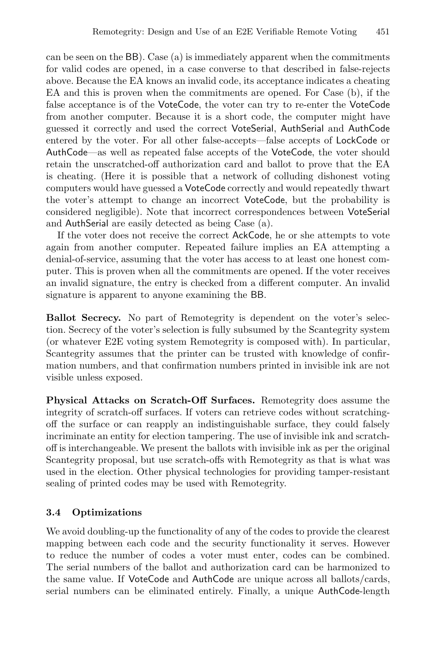can be seen on the BB). Case (a) is immediately apparent when the commitments for valid codes are opened, in a case converse to that described in false-rejects above. Because the EA knows an invalid code, its acceptance indicates a cheating EA and this is proven when the commitments are opened. For Case (b), if the false acceptance is of the VoteCode, the voter can try to re-enter the VoteCode from another computer. Because it is a short code, the computer might have guessed it correctly and used the correct VoteSerial, AuthSerial and AuthCode entered by the voter. For all other false-accepts—false accepts of LockCode or AuthCode—as well as repeated false accepts of the VoteCode, the voter should retain the unscratched-off authorization card and ballot to prove that the EA is cheating. (Here it is possible that a network of colluding dishonest voting computers would have guessed a VoteCode correctly and would repeatedly thwart the voter's attempt to change an incorrect VoteCode, but the probability is considered negligible). Note that incorrect correspondences between VoteSerial and AuthSerial are easily detected as being Case (a).

If the voter does not receive the correct AckCode, he or she attempts to vote again from another computer. Repeated failure implies an EA attempting a denial-of-service, assuming that the voter has access to at least one honest computer. This is proven when all the commitments are opened. If the voter receives an invalid signature, the entry is checked from a different computer. An invalid signature is apparent to anyone examining the BB.

**Ballot Secrecy.** No part of Remotegrity is dependent on the voter's selection. Secrecy of the voter's selection is fully subsumed by the Scantegrity system (or whatever E2E voting system Remotegrity is composed with). In particular, Scantegrity assumes that the printer can be trusted with knowledge of confirmation numbers, and that confirmation numbers printed in invisible ink are not visible unless exposed.

**Physical Attacks on Scratch-Off Surfaces.** Remotegrity does assume the integrity of scratch-off surfaces. If voters can retrieve codes without scratchingoff the surface or can reapply an indistinguishable surface, they could falsely incriminate an entity for election tampering. The use of invisible ink and scratchoff is interchangeable. We present the ballots with invisible ink as per the original Scantegrity proposal, but use scratch-offs with Remotegrity as that is what was used in the election. Other physical technologies for providing tamper-resistant sealing of printed codes may be used with Remotegrity.

### **3.4 Optimizations**

We avoid doubling-up the functionality of any of the codes to provide the clearest mapping between each code and the security functionality it serves. However to reduce the number of codes a voter must enter, codes can be combined. The serial numbers of the ballot and authorization card can be harmonized to the same value. If VoteCode and AuthCode are unique across all ballots/cards, serial numbers can be eliminated entirely. Finally, a unique AuthCode-length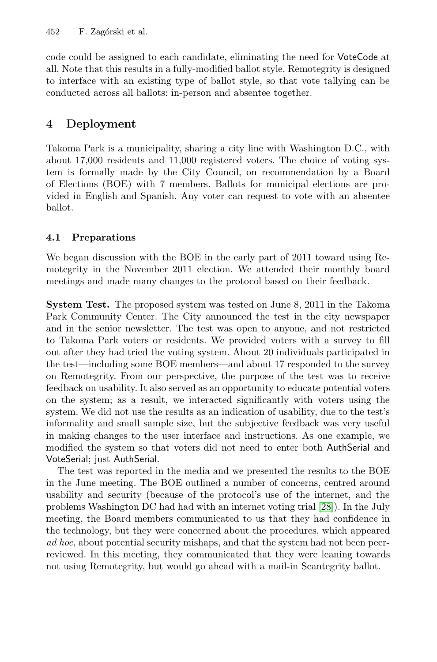<span id="page-11-0"></span>code could be assigned to each candidate, eliminating the need for VoteCode at all. Note that this results in a fully-modified ballot style. Remotegrity is designed to interface with an existing type of ballot style, so that vote tallying can be conducted across all ballots: in-person and absentee together.

### **4 Deployment**

Takoma Park is a municipality, sharing a city line with Washington D.C., with about 17,000 residents and 11,000 registered voters. The choice of voting system is formally made by the City Council, on recommendation by a Board of Elections (BOE) with 7 members. Ballots for municipal elections are provided in English and Spanish. Any voter can request to vote with an absentee ballot.

#### **4.1 Preparations**

We began discussion with the BOE in the early part of 2011 toward using Remotegrity in the November 2011 election. We attended their monthly board meetings and made many changes to the protocol based on their feedback.

**System Test.** The proposed system was tested on June 8, 2011 in the Takoma Park Community Center. The City announced the test in the city newspaper and in the senior newsletter. The test was open to anyone, and not restricted to Takoma Park voters or residents. We provided voters with a survey to fill out after they had tried the voting system. About 20 individuals participated in the test—including some BOE members—and about 17 responded to the survey on Remotegrity. From our perspective, the purpose of the test was to receive feedback on usability. It also served as an opportunity to educate potential voters on the system; as a result, we interacted significantly with voters using the system. We did not use the results as an indi[catio](#page-16-4)n of usability, due to the test's informality and small sample size, but the subjective feedback was very useful in making changes to the user interface and instructions. As one example, we modified the system so that voters did not need to enter both AuthSerial and VoteSerial; just AuthSerial.

The test was reported in the media and we presented the results to the BOE in the June meeting. The BOE outlined a number of concerns, centred around usability and security (because of the protocol's use of the internet, and the problems Washington DC had had with an internet voting trial [28]). In the July meeting, the Board members communicated to us that they had confidence in the technology, but they were concerned about the procedures, which appeared *ad hoc*, about potential security mishaps, and that the system had not been peerreviewed. In this meeting, they communicated that they were leaning towards not using Remotegrity, but would go ahead with a mail-in Scantegrity ballot.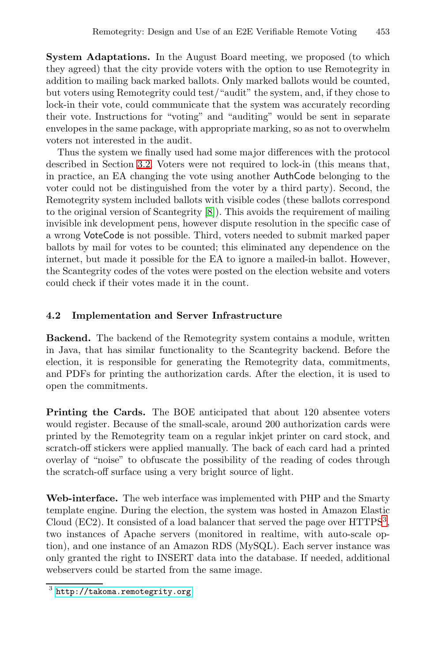**System Adaptations.** In the August Board meeting, we proposed (to which th[ey ag](#page-4-0)reed) that the city provide voters with the option to use Remotegrity in addition to mailing back marked ballots. Only marked ballots would be counted, but voters using Remotegrity could test/"audit" the system, and, if they chose to lock-in their vote, could communicate that the system was accurately recording their vote. Instruc[tio](#page-15-14)ns for "voting" and "auditing" would be sent in separate envelopes in the same package, with appropriate marking, so as not to overwhelm voters not interested in the audit.

Thus the system we finally used had some major differences with the protocol described in Section 3.2. Voters were not required to lock-in (this means that, in practice, an EA changing the vote using another AuthCode belonging to the voter could not be distinguished from the voter by a third party). Second, the Remotegrity system included ballots with visible codes (these ballots correspond to the original version of Scantegrity [8]). This avoids the requirement of mailing invisible ink development pens, however dispute resolution in the specific case of a wrong VoteCode is not possible. Third, voters needed to submit marked paper ballots by mail for votes to be counted; this eliminated any dependence on the internet, but made it possible for the EA to ignore a mailed-in ballot. However, the Scantegrity codes of the votes were posted on the election website and voters could check if their votes made it in the count.

### **4.2 Implementation and Server Infrastructure**

**Backend.** The backend of the Remotegrity system contains a module, written in Java, that has similar functionality to the Scantegrity backend. Before the election, it is responsible for generating the Remotegrity data, commitments, and PDFs for printing the authorization cards. After the election, it is used to open the commitments.

<span id="page-12-0"></span>**Printing the Cards.** The BOE anticipated that about 120 absentee voters would register. Because of the small-scale, around 200 authorization cards were printed by the Remotegrity team on a regular inkjet printe[r](#page-12-0) on card stock, and scratch-off stickers were applied manually. The back of each card had a printed overlay of "noise" to obfuscate the possibility of the reading of codes through the scratch-off surface using a very bright source of light.

**[Web-interface.](http://takoma.remotegrity.org)** The web interface was implemented with PHP and the Smarty template engine. During the election, the system was hosted in Amazon Elastic Cloud (EC2). It consisted of a load balancer that served the page over  $\text{HTTPS}^3$ , two instances of Apache servers (monitored in realtime, with auto-scale option), and one instance of an Amazon RDS (MySQL). Each server instance was only granted the right to INSERT data into the database. If needed, additional webservers could be started from the same image.

<sup>3</sup> http://takoma.remotegrity.org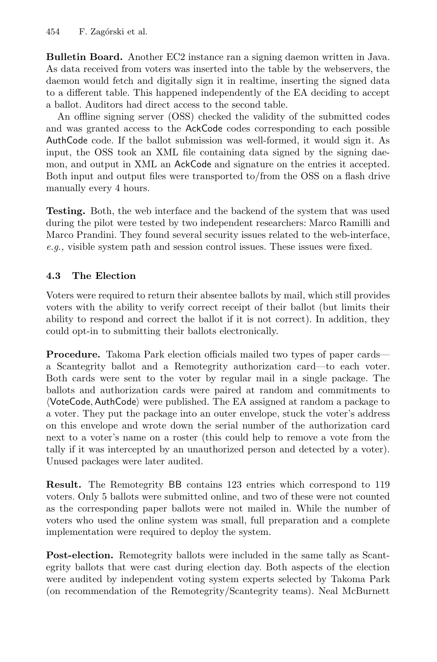**Bulletin Board.** Another EC2 instance ran a signing daemon written in Java. As data received from voters was inserted into the table by the webservers, the daemon would fetch and digitally sign it in realtime, inserting the signed data to a different table. This happened independently of the EA deciding to accept a ballot. Auditors had direct access to the second table.

An offline signing server (OSS) checked the validity of the submitted codes and was granted access to the AckCode codes corresponding to each possible AuthCode code. If the ballot submission was well-formed, it would sign it. As input, the OSS took an XML file containing data signed by the signing daemon, and output in XML an AckCode and signature on the entries it accepted. Both input and output files were transported to/from the OSS on a flash drive manually every 4 hours.

**Testing.** Both, the web interface and the backend of the system that was used during the pilot were tested by two independent researchers: Marco Ramilli and Marco Prandini. They found several security issues related to the web-interface, *e.g.,* visible system path and session control issues. These issues were fixed.

# **4.3 The Election**

Voters were required to return their absentee ballots by mail, which still provides voters with the ability to verify correct receipt of their ballot (but limits their ability to respond and correct the ballot if it is not correct). In addition, they could opt-in to submitting their ballots electronically.

**Procedure.** Takoma Park election officials mailed two types of paper cards a Scantegrity ballot and a Remotegrity authorization card—to each voter. Both cards were sent to the voter by regular mail in a single package. The ballots and authorization cards were paired at random and commitments to -VoteCode*,* AuthCode were published. The EA assigned at random a package to a voter. They put the package into an outer envelope, stuck the voter's address on this envelope and wrote down the serial number of the authorization card next to a voter's name on a roster (this could help to remove a vote from the tally if it was intercepted by an unauthorized person and detected by a voter). Unused packages were later audited.

**Result.** The Remotegrity BB contains 123 entries which correspond to 119 voters. Only 5 ballots were submitted online, and two of these were not counted as the corresponding paper ballots were not mailed in. While the number of voters who used the online system was small, full preparation and a complete implementation were required to deploy the system.

**Post-election.** Remotegrity ballots were included in the same tally as Scantegrity ballots that were cast during election day. Both aspects of the election were audited by independent voting system experts selected by Takoma Park (on recommendation of the Remotegrity/Scantegrity teams). Neal McBurnett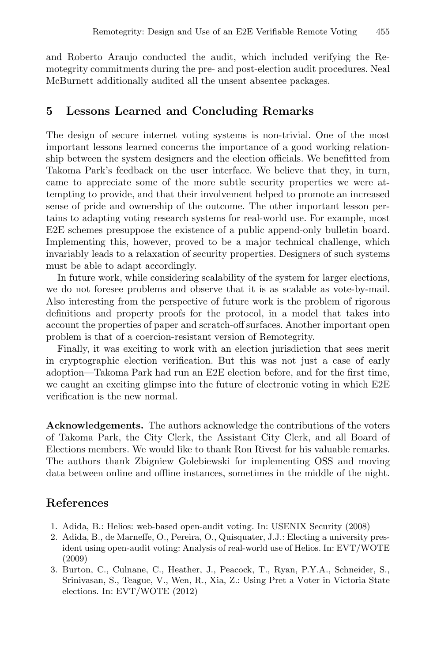and Roberto Araujo conducted the audit, which included verifying the Remotegrity commitments during the pre- and post-election audit procedures. Neal McBurnett additionally audited all the unsent absentee packages.

### **5 Lessons Learned and Concluding Remarks**

The design of secure internet voting systems is non-trivial. One of the most important lessons learned concerns the importance of a good working relationship between the system designers and the election officials. We benefitted from Takoma Park's feedback on the user interface. We believe that they, in turn, came to appreciate some of the more subtle security properties we were attempting to provide, and that their involvement helped to promote an increased sense of pride and ownership of the outcome. The other important lesson pertains to adapting voting research systems for real-world use. For example, most E2E schemes presuppose the existence of a public append-only bulletin board. Implementing this, however, proved to be a major technical challenge, which invariably leads to a relaxation of security properties. Designers of such systems must be able to adapt accordingly.

In future work, while considering scalability of the system for larger elections, we do not foresee problems and observe that it is as scalable as vote-by-mail. Also interesting from the perspective of future work is the problem of rigorous definitions and property proofs for the protocol, in a model that takes into account the properties of paper and scratch-off surfaces. Another important open problem is that of a coercion-resistant version of Remotegrity.

Finally, it was exciting to work with an election jurisdiction that sees merit in cryptographic election verification. But this was not just a case of early adoption—Takoma Park had run an E2E election before, and for the first time, we caught an exciting glimpse into the future of electronic voting in which E2E verification is the new normal.

<span id="page-14-3"></span><span id="page-14-2"></span><span id="page-14-0"></span>**Acknowledgements.** The authors acknowledge the contributions of the voters of Takoma Park, the City Clerk, the Assistant City Clerk, and all Board of Elections members. We would like to thank Ron Rivest for his valuable remarks. The authors thank Zbigniew Golebiewski for implementing OSS and moving data between online and offline instances, sometimes in the middle of the night.

### <span id="page-14-1"></span>**References**

- 1. Adida, B.: Helios: web-based open-audit voting. In: USENIX Security (2008)
- 2. Adida, B., de Marneffe, O., Pereira, O., Quisquater, J.J.: Electing a university president using open-audit voting: Analysis of real-world use of Helios. In: EVT/WOTE (2009)
- 3. Burton, C., Culnane, C., Heather, J., Peacock, T., Ryan, P.Y.A., Schneider, S., Srinivasan, S., Teague, V., Wen, R., Xia, Z.: Using Pret a Voter in Victoria State elections. In: EVT/WOTE (2012)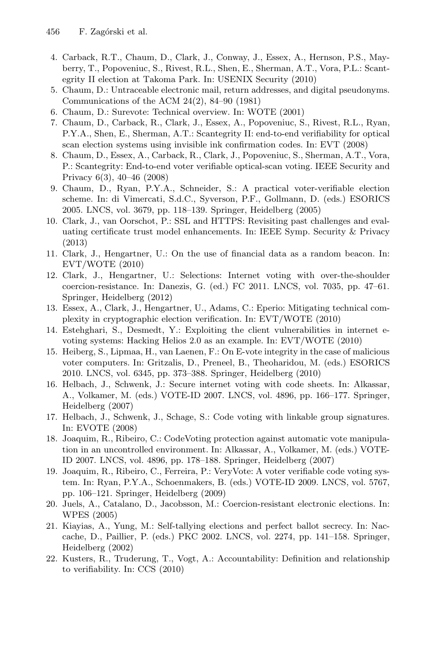- <span id="page-15-14"></span><span id="page-15-5"></span><span id="page-15-3"></span><span id="page-15-1"></span><span id="page-15-0"></span>4. Carback, R.T., Chaum, D., Clark, J., Conway, J., Essex, A., Hernson, P.S., Mayberry, T., Popoveniuc, S., Rivest, R.L., Shen, E., Sherman, A.T., Vora, P.L.: Scantegrity II election at Takoma Park. In: USENIX Security (2010)
- 5. Chaum, D.: Untraceable electronic mail, return addresses, and digital pseudonyms. Communications of the ACM 24(2), 84–90 (1981)
- 6. Chaum, D.: Surevote: Technical overview. In: WOTE (2001)
- <span id="page-15-2"></span>7. Chaum, D., Carback, R., Clark, J., Essex, A., Popoveniuc, S., Rivest, R.L., Ryan, P.Y.A., Shen, E., Sherman, A.T.: Scantegrity II: end-to-end verifiability for optical scan election systems using invisible ink confirmation codes. In: EVT (2008)
- <span id="page-15-13"></span>8. Chaum, D., Essex, A., Carback, R., Clark, J., Popoveniuc, S., Sherman, A.T., Vora, P.: Scantegrity: End-to-end voter verifiable optical-scan voting. IEEE Security and Privacy 6(3), 40–46 (2008)
- 9. Chaum, D., Ryan, P.Y.A., Schneider, S.: A practical voter-verifiable election scheme. In: di Vimercati, S.d.C., Syverson, P.F., Gollmann, D. (eds.) ESORICS 2005. LNCS, vol. 3679, pp. 118–139. Springer, Heidelberg (2005)
- 10. Clark, J., van Oorschot, P.: SSL and HTTPS: Revisiting past challenges and evaluating certificate trust model enhancements. In: IEEE Symp. Security & Privacy (2013)
- <span id="page-15-10"></span><span id="page-15-4"></span>11. Clark, J., Hengartner, U.: On the use of financial data as a random beacon. In: EVT/WOTE (2010)
- 12. Clark, J., Hengartner, U.: Selections: Internet voting with over-the-shoulder coercion-resistance. In: Danezis, G. (ed.) FC 2011. LNCS, vol. 7035, pp. 47–61. Springer, Heidelberg (2012)
- <span id="page-15-6"></span>13. Essex, A., Clark, J., Hengartner, U., Adams, C.: Eperio: Mitigating technical complexity in cryptographic election verification. In: EVT/WOTE (2010)
- <span id="page-15-8"></span>14. Estehghari, S., Desmedt, Y.: Exploiting the client vulnerabilities in internet evoting systems: Hacking Helios 2.0 as an example. In: EVT/WOTE (2010)
- <span id="page-15-7"></span>15. Heiberg, S., Lipmaa, H., van Laenen, F.: On E-vote integrity in the case of malicious voter computers. In: Gritzalis, D., Preneel, B., Theoharidou, M. (eds.) ESORICS 2010. LNCS, vol. 6345, pp. 373–388. Springer, Heidelberg (2010)
- <span id="page-15-9"></span>16. Helbach, J., Schwenk, J.: Secure internet voting with code sheets. In: Alkassar, A., Volkamer, M. (eds.) VOTE-ID 2007. LNCS, vol. 4896, pp. 166–177. Springer, Heidelberg (2007)
- 17. Helbach, J., Schwenk, J., Schage, S.: Code voting with linkable group signatures. In: EVOTE (2008)
- <span id="page-15-11"></span>18. Joaquim, R., Ribeiro, C.: CodeVoting protection against automatic vote manipulation in an uncontrolled environment. In: Alkassar, A., Volkamer, M. (eds.) VOTE-ID 2007. LNCS, vol. 4896, pp. 178–188. Springer, Heidelberg (2007)
- <span id="page-15-12"></span>19. Joaquim, R., Ribeiro, C., Ferreira, P.: VeryVote: A voter verifiable code voting system. In: Ryan, P.Y.A., Schoenmakers, B. (eds.) VOTE-ID 2009. LNCS, vol. 5767, pp. 106–121. Springer, Heidelberg (2009)
- 20. Juels, A., Catalano, D., Jacobsson, M.: Coercion-resistant electronic elections. In: WPES (2005)
- 21. Kiayias, A., Yung, M.: Self-tallying elections and perfect ballot secrecy. In: Naccache, D., Paillier, P. (eds.) PKC 2002. LNCS, vol. 2274, pp. 141–158. Springer, Heidelberg (2002)
- 22. Kusters, R., Truderung, T., Vogt, A.: Accountability: Definition and relationship to verifiability. In: CCS (2010)